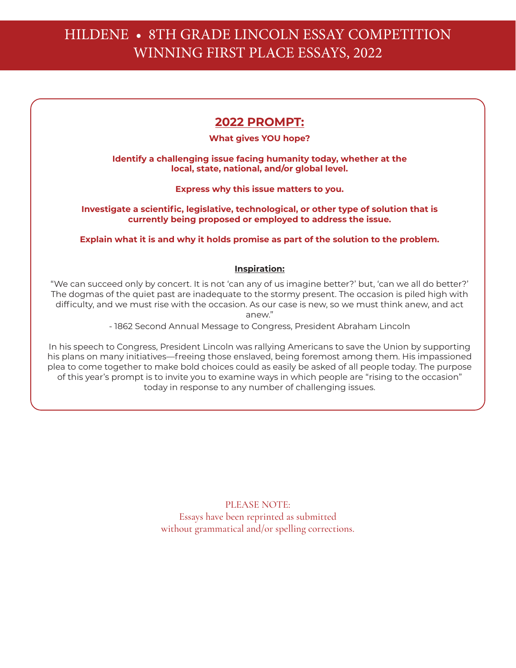# HILDENE • 8TH GRADE LINCOLN ESSAY COMPETITION WINNING FIRST PLACE ESSAYS, 2022

# **2022 PROMPT:**

### **What gives YOU hope?**

### **Identify a challenging issue facing humanity today, whether at the local, state, national, and/or global level.**

**Express why this issue matters to you.**

**Investigate a scientific, legislative, technological, or other type of solution that is currently being proposed or employed to address the issue.**

**Explain what it is and why it holds promise as part of the solution to the problem.**

### **Inspiration:**

"We can succeed only by concert. It is not 'can any of us imagine better?' but, 'can we all do better?' The dogmas of the quiet past are inadequate to the stormy present. The occasion is piled high with difficulty, and we must rise with the occasion. As our case is new, so we must think anew, and act anew."

- 1862 Second Annual Message to Congress, President Abraham Lincoln

In his speech to Congress, President Lincoln was rallying Americans to save the Union by supporting his plans on many initiatives—freeing those enslaved, being foremost among them. His impassioned plea to come together to make bold choices could as easily be asked of all people today. The purpose of this year's prompt is to invite you to examine ways in which people are "rising to the occasion" today in response to any number of challenging issues.

> PLEASE NOTE: Essays have been reprinted as submitted without grammatical and/or spelling corrections.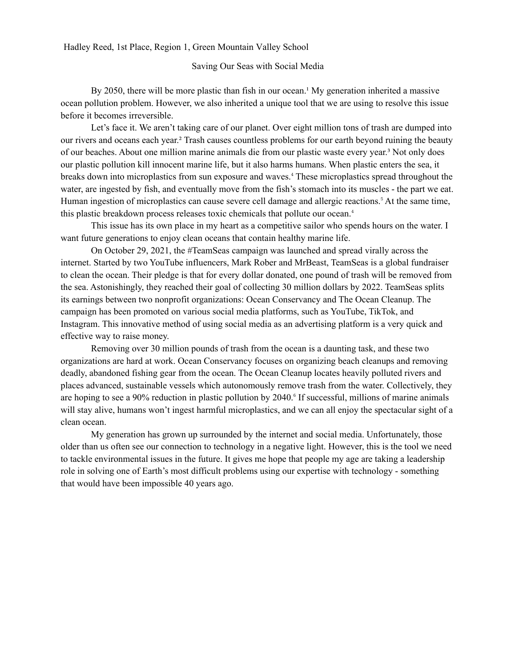Hadley Reed, 1st Place, Region 1, Green Mountain Valley School

#### Saving Our Seas with Social Media

By 2050, there will be more plastic than fish in our ocean.<sup>1</sup> My generation inherited a massive ocean pollution problem. However, we also inherited a unique tool that we are using to resolve this issue before it becomes irreversible.

Let's face it. We aren't taking care of our planet. Over eight million tons of trash are dumped into our rivers and oceans each year.² Trash causes countless problems for our earth beyond ruining the beauty of our beaches. About one million marine animals die from our plastic waste every year.³ Not only does our plastic pollution kill innocent marine life, but it also harms humans. When plastic enters the sea, it breaks down into microplastics from sun exposure and waves.<sup>4</sup> These microplastics spread throughout the water, are ingested by fish, and eventually move from the fish's stomach into its muscles - the part we eat. Human ingestion of microplastics can cause severe cell damage and allergic reactions.<sup>5</sup> At the same time, this plastic breakdown process releases toxic chemicals that pollute our ocean.<sup>4</sup>

This issue has its own place in my heart as a competitive sailor who spends hours on the water. I want future generations to enjoy clean oceans that contain healthy marine life.

On October 29, 2021, the #TeamSeas campaign was launched and spread virally across the internet. Started by two YouTube influencers, Mark Rober and MrBeast, TeamSeas is a global fundraiser to clean the ocean. Their pledge is that for every dollar donated, one pound of trash will be removed from the sea. Astonishingly, they reached their goal of collecting 30 million dollars by 2022. TeamSeas splits its earnings between two nonprofit organizations: Ocean Conservancy and The Ocean Cleanup. The campaign has been promoted on various social media platforms, such as YouTube, TikTok, and Instagram. This innovative method of using social media as an advertising platform is a very quick and effective way to raise money.

Removing over 30 million pounds of trash from the ocean is a daunting task, and these two organizations are hard at work. Ocean Conservancy focuses on organizing beach cleanups and removing deadly, abandoned fishing gear from the ocean. The Ocean Cleanup locates heavily polluted rivers and places advanced, sustainable vessels which autonomously remove trash from the water. Collectively, they are hoping to see a 90% reduction in plastic pollution by 2040. If successful, millions of marine animals will stay alive, humans won't ingest harmful microplastics, and we can all enjoy the spectacular sight of a clean ocean.

My generation has grown up surrounded by the internet and social media. Unfortunately, those older than us often see our connection to technology in a negative light. However, this is the tool we need to tackle environmental issues in the future. It gives me hope that people my age are taking a leadership role in solving one of Earth's most difficult problems using our expertise with technology - something that would have been impossible 40 years ago.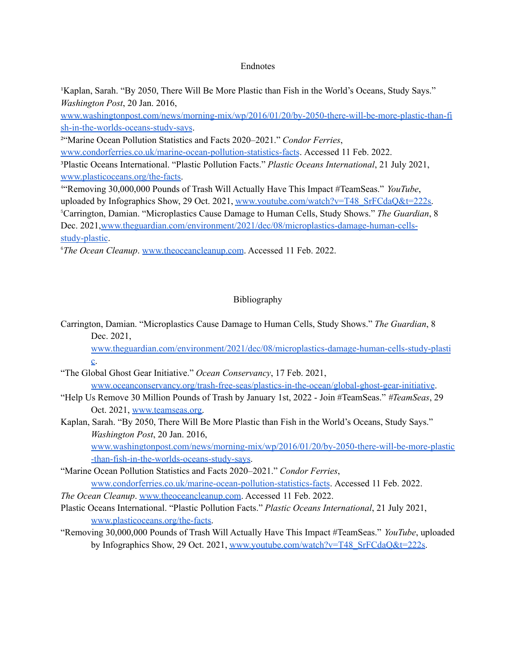#### Endnotes

<sup>1</sup>Kaplan, Sarah. "By 2050, There Will Be More Plastic than Fish in the World's Oceans, Study Says." *Washington Post*, 20 Jan. 2016,

[www.washingtonpost.com/news/morning-mix/wp/2016/01/20/by-2050-there-will-be-more-plastic-than-fi](http://www.washingtonpost.com/news/morning-mix/wp/2016/01/20/by-2050-there-will-be-more-plastic-than-fish-in-the-worlds-oceans-study-says) [sh-in-the-worlds-oceans-study-says](http://www.washingtonpost.com/news/morning-mix/wp/2016/01/20/by-2050-there-will-be-more-plastic-than-fish-in-the-worlds-oceans-study-says).

²"Marine Ocean Pollution Statistics and Facts 2020–2021." *Condor Ferries*,

[www.condorferries.co.uk/marine-ocean-pollution-statistics-facts](http://www.condorferries.co.uk/marine-ocean-pollution-statistics-facts). Accessed 11 Feb. 2022.

³Plastic Oceans International. "Plastic Pollution Facts." *Plastic Oceans International*, 21 July 2021, [www.plasticoceans.org/the-facts.](http://www.plasticoceans.org/the-facts)

⁴"Removing 30,000,000 Pounds of Trash Will Actually Have This Impact #TeamSeas." *YouTube*, uploaded by Infographics Show, 29 Oct. 2021, [www.youtube.com/watch?v=T48\\_SrFCdaQ&t=222s.](http://www.youtube.com/watch?v=T48_SrFCdaQ&t=222s) ⁵Carrington, Damian. "Microplastics Cause Damage to Human Cells, Study Shows." *The Guardian*, 8 Dec. 2021,[www.theguardian.com/environment/2021/dec/08/microplastics-damage-human-cells](http://www.theguardian.com/environment/2021/dec/08/microplastics-damage-human-cells-study-plastic)[study-plastic](http://www.theguardian.com/environment/2021/dec/08/microplastics-damage-human-cells-study-plastic).

*<sup>6</sup>The Ocean Cleanup.* [www.theoceancleanup.com](http://www.theoceancleanup.com). Accessed 11 Feb. 2022.

### Bibliography

Carrington, Damian. "Microplastics Cause Damage to Human Cells, Study Shows." *The Guardian*, 8 Dec. 2021,

[www.theguardian.com/environment/2021/dec/08/microplastics-damage-human-cells-study-plasti](http://www.theguardian.com/environment/2021/dec/08/microplastics-damage-human-cells-study-plastic)  $\underline{c}$ .

- "The Global Ghost Gear Initiative." *Ocean Conservancy*, 17 Feb. 2021, [www.oceanconservancy.org/trash-free-seas/plastics-in-the-ocean/global-ghost-gear-initiative.](http://www.oceanconservancy.org/trash-free-seas/plastics-in-the-ocean/global-ghost-gear-initiative)
- "Help Us Remove 30 Million Pounds of Trash by January 1st, 2022 Join #TeamSeas." *#TeamSeas*, 29 Oct. 2021, [www.teamseas.org.](http://www.teamseas.org)
- Kaplan, Sarah. "By 2050, There Will Be More Plastic than Fish in the World's Oceans, Study Says." *Washington Post*, 20 Jan. 2016, [www.washingtonpost.com/news/morning-mix/wp/2016/01/20/by-2050-there-will-be-more-plastic](http://www.washingtonpost.com/news/morning-mix/wp/2016/01/20/by-2050-there-will-be-more-plastic-than-fish-in-the-worlds-oceans-study-says)

[-than-fish-in-the-worlds-oceans-study-says](http://www.washingtonpost.com/news/morning-mix/wp/2016/01/20/by-2050-there-will-be-more-plastic-than-fish-in-the-worlds-oceans-study-says).

"Marine Ocean Pollution Statistics and Facts 2020–2021." *Condor Ferries*, [www.condorferries.co.uk/marine-ocean-pollution-statistics-facts](http://www.condorferries.co.uk/marine-ocean-pollution-statistics-facts). Accessed 11 Feb. 2022.

*The Ocean Cleanup*. [www.theoceancleanup.com](http://www.theoceancleanup.com). Accessed 11 Feb. 2022.

- Plastic Oceans International. "Plastic Pollution Facts." *Plastic Oceans International*, 21 July 2021, [www.plasticoceans.org/the-facts.](http://www.plasticoceans.org/the-facts)
- "Removing 30,000,000 Pounds of Trash Will Actually Have This Impact #TeamSeas." *YouTube*, uploaded by Infographics Show, 29 Oct. 2021, www.youtube.com/watch?v=T48\_SrFCdaO&t=222s.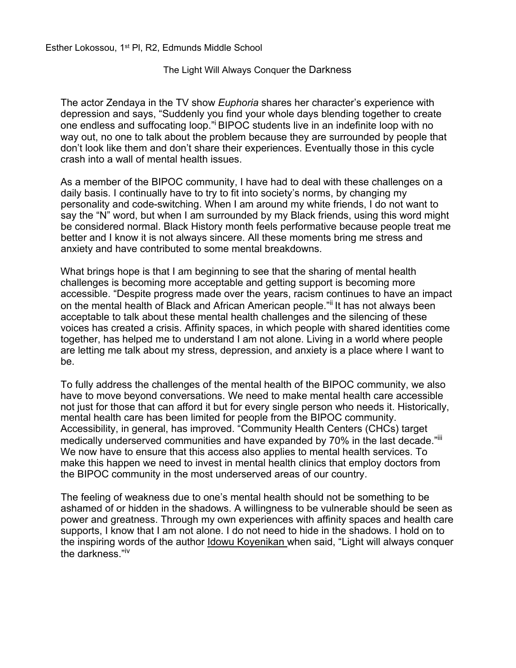Esther Lokossou, 1<sup>st</sup> Pl, R2, Edmunds Middle School

The Light Will Always Conquer the Darkness

The actor Zendaya in the TV show *Euphoria* shares her character's experience with depression and says, "Suddenly you find your whole days blending together to create one endless and suffocating loop." BIPOC students live in an indefinite loop with no way out, no one to talk about the problem because they are surrounded by people that don't look like them and don't share their experiences. Eventually those in this cycle crash into a wall of mental health issues.

As a member of the BIPOC community, I have had to deal with these challenges on a daily basis. I continually have to try to fit into society's norms, by changing my personality and code-switching. When I am around my white friends, I do not want to say the "N" word, but when I am surrounded by my Black friends, using this word might be considered normal. Black History month feels performative because people treat me better and I know it is not always sincere. All these moments bring me stress and anxiety and have contributed to some mental breakdowns.

What brings hope is that I am beginning to see that the sharing of mental health challenges is becoming more acceptable and getting support is becoming more accessible. "Despite progress made over the years, racism continues to have an impact on the mental health of Black and African American people." It has not always been acceptable to talk about these mental health challenges and the silencing of these voices has created a crisis. Affinity spaces, in which people with shared identities come together, has helped me to understand I am not alone. Living in a world where people are letting me talk about my stress, depression, and anxiety is a place where I want to be.

To fully address the challenges of the mental health of the BIPOC community, we also have to move beyond conversations. We need to make mental health care accessible not just for those that can afford it but for every single person who needs it. Historically, mental health care has been limited for people from the BIPOC community. Accessibility, in general, has improved. "Community Health Centers (CHCs) target medically underserved communities and have expanded by 70% in the last decade."<sup>iii</sup> We now have to ensure that this access also applies to mental health services. To make this happen we need to invest in mental health clinics that employ doctors from the BIPOC community in the most underserved areas of our country.

The feeling of weakness due to one's mental health should not be something to be ashamed of or hidden in the shadows. A willingness to be vulnerable should be seen as power and greatness. Through my own experiences with affinity spaces and health care supports, I know that I am not alone. I do not need to hide in the shadows. I hold on to the inspiring words of the author **Idowu Koyenikan when said, "Light will always conquer** the darkness."iv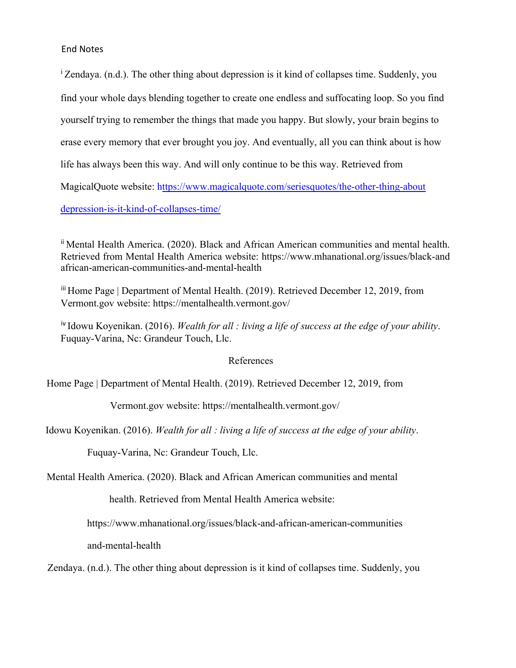### End Notes

<sup>i</sup> Zendaya. (n.d.). The other thing about depression is it kind of collapses time. Suddenly, you find your whole days blending together to create one endless and suffocating loop. So you find yourself trying to remember the things that made you happy. But slowly, your brain begins to erase every memory that ever brought you joy. And eventually, all you can think about is how life has always been this way. And will only continue to be this way. Retrieved from MagicalQuote website: https://www.magicalquote.com/seriesquotes/the-other-thing-about depression-is-it-kind-of-collapses-time/

ii Mental Health America. (2020). Black and African American communities and mental health. Retrieved from Mental Health America website: https://www.mhanational.org/issues/black-and african-american-communities-and-mental-health

iii Home Page | Department of Mental Health. (2019). Retrieved December 12, 2019, from Vermont.gov website: https://mentalhealth.vermont.gov/

iv Idowu Koyenikan. (2016). *Wealth for all : living a life of success at the edge of your ability*. Fuquay-Varina, Nc: Grandeur Touch, Llc.

#### References

Home Page | Department of Mental Health. (2019). Retrieved December 12, 2019, from

Vermont.gov website: https://mentalhealth.vermont.gov/

Idowu Koyenikan. (2016). *Wealth for all : living a life of success at the edge of your ability*.

Fuquay-Varina, Nc: Grandeur Touch, Llc.

Mental Health America. (2020). Black and African American communities and mental

health. Retrieved from Mental Health America website:

https://www.mhanational.org/issues/black-and-african-american-communities

and-mental-health

Zendaya. (n.d.). The other thing about depression is it kind of collapses time. Suddenly, you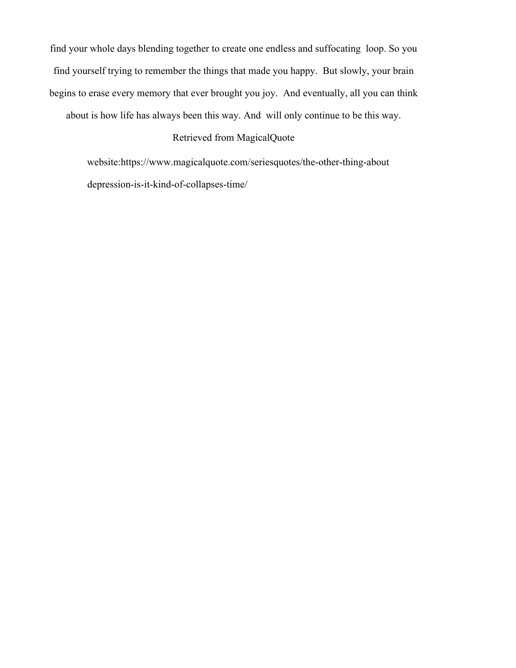find your whole days blending together to create one endless and suffocating loop. So you find yourself trying to remember the things that made you happy. But slowly, your brain begins to erase every memory that ever brought you joy. And eventually, all you can think

about is how life has always been this way. And will only continue to be this way.

# Retrieved from MagicalQuote

website:https://www.magicalquote.com/seriesquotes/the-other-thing-about depression-is-it-kind-of-collapses-time/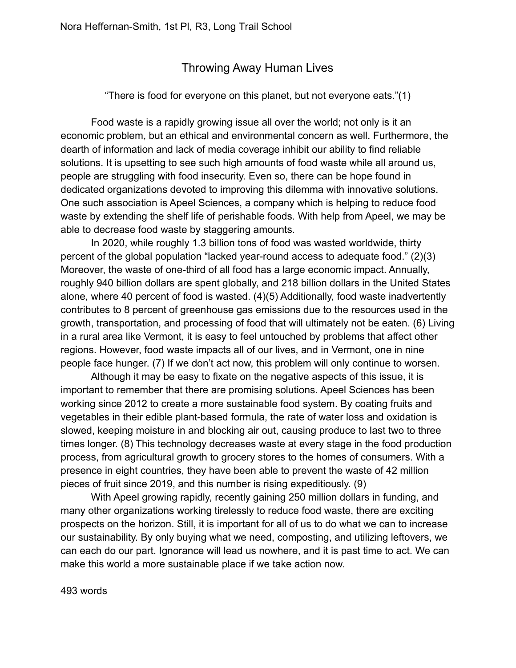# Throwing Away Human Lives

# "There is food for everyone on this planet, but not everyone eats."(1)

Food waste is a rapidly growing issue all over the world; not only is it an economic problem, but an ethical and environmental concern as well. Furthermore, the dearth of information and lack of media coverage inhibit our ability to find reliable solutions. It is upsetting to see such high amounts of food waste while all around us, people are struggling with food insecurity. Even so, there can be hope found in dedicated organizations devoted to improving this dilemma with innovative solutions. One such association is Apeel Sciences, a company which is helping to reduce food waste by extending the shelf life of perishable foods. With help from Apeel, we may be able to decrease food waste by staggering amounts.

In 2020, while roughly 1.3 billion tons of food was wasted worldwide, thirty percent of the global population "lacked year-round access to adequate food." (2)(3) Moreover, the waste of one-third of all food has a large economic impact. Annually, roughly 940 billion dollars are spent globally, and 218 billion dollars in the United States alone, where 40 percent of food is wasted. (4)(5) Additionally, food waste inadvertently contributes to 8 percent of greenhouse gas emissions due to the resources used in the growth, transportation, and processing of food that will ultimately not be eaten. (6) Living in a rural area like Vermont, it is easy to feel untouched by problems that affect other regions. However, food waste impacts all of our lives, and in Vermont, one in nine people face hunger. (7) If we don't act now, this problem will only continue to worsen.

Although it may be easy to fixate on the negative aspects of this issue, it is important to remember that there are promising solutions. Apeel Sciences has been working since 2012 to create a more sustainable food system. By coating fruits and vegetables in their edible plant-based formula, the rate of water loss and oxidation is slowed, keeping moisture in and blocking air out, causing produce to last two to three times longer. (8) This technology decreases waste at every stage in the food production process, from agricultural growth to grocery stores to the homes of consumers. With a presence in eight countries, they have been able to prevent the waste of 42 million pieces of fruit since 2019, and this number is rising expeditiously. (9)

With Apeel growing rapidly, recently gaining 250 million dollars in funding, and many other organizations working tirelessly to reduce food waste, there are exciting prospects on the horizon. Still, it is important for all of us to do what we can to increase our sustainability. By only buying what we need, composting, and utilizing leftovers, we can each do our part. Ignorance will lead us nowhere, and it is past time to act. We can make this world a more sustainable place if we take action now.

493 words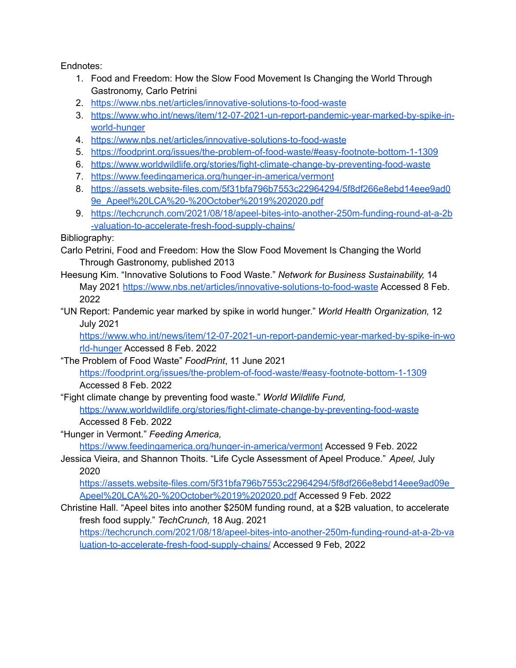Endnotes:

- 1. Food and Freedom: How the Slow Food Movement Is Changing the World Through Gastronomy, Carlo Petrini
- 2. <https://www.nbs.net/articles/innovative-solutions-to-food-waste>
- 3. [https://www.who.int/news/item/12-07-2021-un-report-pandemic-year-marked-by-spike-in](https://www.who.int/news/item/12-07-2021-un-report-pandemic-year-marked-by-spike-in-world-hunger)[world-hunger](https://www.who.int/news/item/12-07-2021-un-report-pandemic-year-marked-by-spike-in-world-hunger)
- 4. <https://www.nbs.net/articles/innovative-solutions-to-food-waste>
- 5. <https://foodprint.org/issues/the-problem-of-food-waste/#easy-footnote-bottom-1-1309>
- 6. <https://www.worldwildlife.org/stories/fight-climate-change-by-preventing-food-waste>
- 7. <https://www.feedingamerica.org/hunger-in-america/vermont>
- 8. [https://assets.website-files.com/5f31bfa796b7553c22964294/5f8df266e8ebd14eee9ad0](https://assets.website-files.com/5f31bfa796b7553c22964294/5f8df266e8ebd14eee9ad09e_Apeel%20LCA%20-%20October%2019%202020.pdf) [9e\\_Apeel%20LCA%20-%20October%2019%202020.pdf](https://assets.website-files.com/5f31bfa796b7553c22964294/5f8df266e8ebd14eee9ad09e_Apeel%20LCA%20-%20October%2019%202020.pdf)
- 9. [https://techcrunch.com/2021/08/18/apeel-bites-into-another-250m-funding-round-at-a-2b](https://techcrunch.com/2021/08/18/apeel-bites-into-another-250m-funding-round-at-a-2b-valuation-to-accelerate-fresh-food-supply-chains/) [-valuation-to-accelerate-fresh-food-supply-chains/](https://techcrunch.com/2021/08/18/apeel-bites-into-another-250m-funding-round-at-a-2b-valuation-to-accelerate-fresh-food-supply-chains/)

Bibliography:

- Carlo Petrini, Food and Freedom: How the Slow Food Movement Is Changing the World Through Gastronomy, published 2013
- Heesung Kim. "Innovative Solutions to Food Waste." *Network for Business Sustainability,* 14 May 2021 <https://www.nbs.net/articles/innovative-solutions-to-food-waste> Accessed 8 Feb. 2022
- "UN Report: Pandemic year marked by spike in world hunger." *World Health Organization,* 12 July 2021

[https://www.who.int/news/item/12-07-2021-un-report-pandemic-year-marked-by-spike-in-wo](https://www.who.int/news/item/12-07-2021-un-report-pandemic-year-marked-by-spike-in-world-hunger) [rld-hunger](https://www.who.int/news/item/12-07-2021-un-report-pandemic-year-marked-by-spike-in-world-hunger) Accessed 8 Feb. 2022

- "The Problem of Food Waste" *FoodPrint*, 11 June 2021 <https://foodprint.org/issues/the-problem-of-food-waste/#easy-footnote-bottom-1-1309> Accessed 8 Feb. 2022
- "Fight climate change by preventing food waste." *World Wildlife Fund,* <https://www.worldwildlife.org/stories/fight-climate-change-by-preventing-food-waste> Accessed 8 Feb. 2022
- "Hunger in Vermont." *Feeding America,*

<https://www.feedingamerica.org/hunger-in-america/vermont> Accessed 9 Feb. 2022

Jessica Vieira, and Shannon Thoits. "Life Cycle Assessment of Apeel Produce." *Apeel,* July 2020

[https://assets.website-files.com/5f31bfa796b7553c22964294/5f8df266e8ebd14eee9ad09e\\_](https://assets.website-files.com/5f31bfa796b7553c22964294/5f8df266e8ebd14eee9ad09e_Apeel%20LCA%20-%20October%2019%202020.pdf) [Apeel%20LCA%20-%20October%2019%202020.pdf](https://assets.website-files.com/5f31bfa796b7553c22964294/5f8df266e8ebd14eee9ad09e_Apeel%20LCA%20-%20October%2019%202020.pdf) Accessed 9 Feb. 2022

Christine Hall. "Apeel bites into another \$250M funding round, at a \$2B valuation, to accelerate fresh food supply." *TechCrunch,* 18 Aug. 2021

[https://techcrunch.com/2021/08/18/apeel-bites-into-another-250m-funding-round-at-a-2b-va](https://techcrunch.com/2021/08/18/apeel-bites-into-another-250m-funding-round-at-a-2b-valuation-to-accelerate-fresh-food-supply-chains/) [luation-to-accelerate-fresh-food-supply-chains/](https://techcrunch.com/2021/08/18/apeel-bites-into-another-250m-funding-round-at-a-2b-valuation-to-accelerate-fresh-food-supply-chains/) Accessed 9 Feb, 2022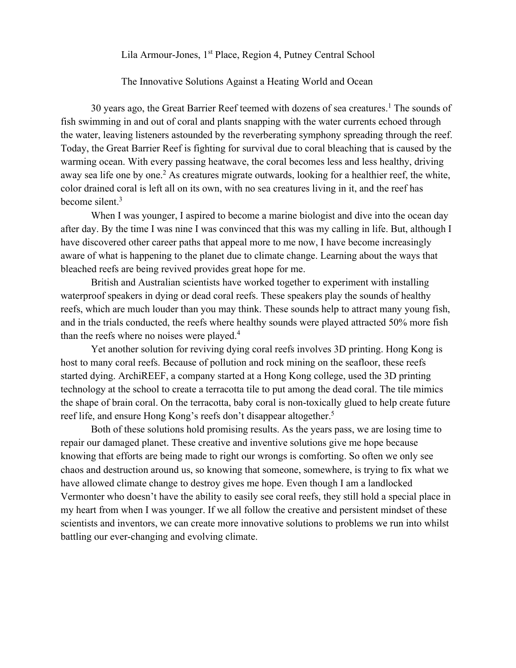Lila Armour-Jones, 1<sup>st</sup> Place, Region 4, Putney Central School

The Innovative Solutions Against a Heating World and Ocean

30 years ago, the Great Barrier Reef teemed with dozens of sea creatures.<sup>1</sup> The sounds of fish swimming in and out of coral and plants snapping with the water currents echoed through the water, leaving listeners astounded by the reverberating symphony spreading through the reef. Today, the Great Barrier Reef is fighting for survival due to coral bleaching that is caused by the warming ocean. With every passing heatwave, the coral becomes less and less healthy, driving away sea life one by one.<sup>2</sup> As creatures migrate outwards, looking for a healthier reef, the white, color drained coral is left all on its own, with no sea creatures living in it, and the reef has become silent.<sup>3</sup>

When I was younger, I aspired to become a marine biologist and dive into the ocean day after day. By the time I was nine I was convinced that this was my calling in life. But, although I have discovered other career paths that appeal more to me now, I have become increasingly aware of what is happening to the planet due to climate change. Learning about the ways that bleached reefs are being revived provides great hope for me.

British and Australian scientists have worked together to experiment with installing waterproof speakers in dying or dead coral reefs. These speakers play the sounds of healthy reefs, which are much louder than you may think. These sounds help to attract many young fish, and in the trials conducted, the reefs where healthy sounds were played attracted 50% more fish than the reefs where no noises were played.<sup>4</sup>

Yet another solution for reviving dying coral reefs involves 3D printing. Hong Kong is host to many coral reefs. Because of pollution and rock mining on the seafloor, these reefs started dying. ArchiREEF, a company started at a Hong Kong college, used the 3D printing technology at the school to create a terracotta tile to put among the dead coral. The tile mimics the shape of brain coral. On the terracotta, baby coral is non-toxically glued to help create future reef life, and ensure Hong Kong's reefs don't disappear altogether.<sup>5</sup>

Both of these solutions hold promising results. As the years pass, we are losing time to repair our damaged planet. These creative and inventive solutions give me hope because knowing that efforts are being made to right our wrongs is comforting. So often we only see chaos and destruction around us, so knowing that someone, somewhere, is trying to fix what we have allowed climate change to destroy gives me hope. Even though I am a landlocked Vermonter who doesn't have the ability to easily see coral reefs, they still hold a special place in my heart from when I was younger. If we all follow the creative and persistent mindset of these scientists and inventors, we can create more innovative solutions to problems we run into whilst battling our ever-changing and evolving climate.